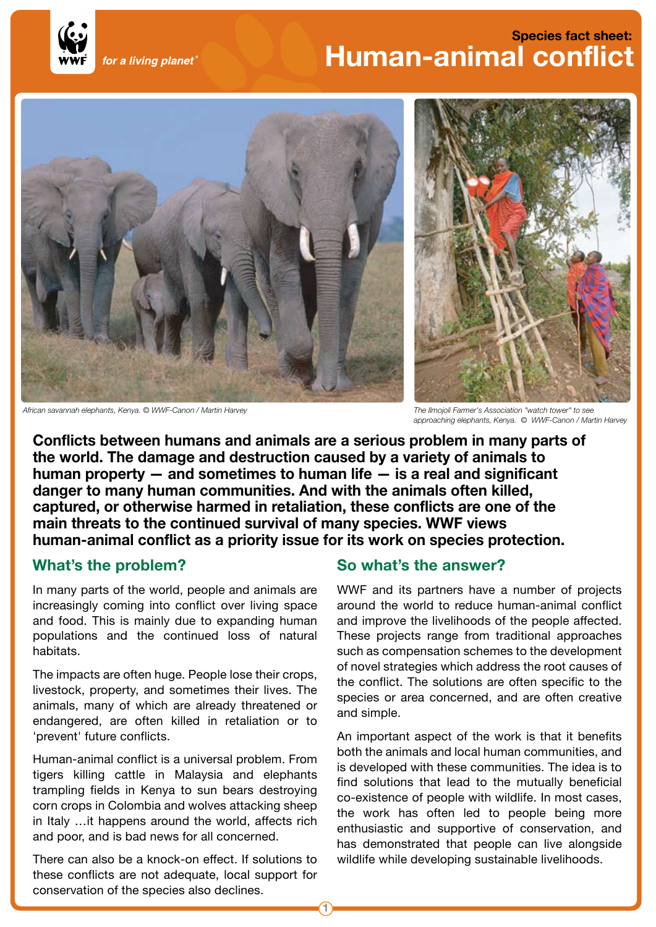

# **Species fact sheet: Human-animal conflict**



*African savannah elephants, Kenya. © WWF-Canon / Martin Harvey The Ilmojoli Farmer's Association "watch tower" to see*



*approaching elephants, Kenya. © WWF-Canon / Martin Harvey* 

**Conflicts between humans and animals are a serious problem in many parts of the world. The damage and destruction caused by a variety of animals to human property — and sometimes to human life — is a real and significant danger to many human communities. And with the animals often killed, captured, or otherwise harmed in retaliation, these conflicts are one of the main threats to the continued survival of many species. WWF views human-animal conflict as a priority issue for its work on species protection.** 

# **What's the problem?**

In many parts of the world, people and animals are increasingly coming into conflict over living space and food. This is mainly due to expanding human populations and the continued loss of natural habitats.

The impacts are often huge. People lose their crops, livestock, property, and sometimes their lives. The animals, many of which are already threatened or endangered, are often killed in retaliation or to 'prevent' future conflicts.

Human-animal conflict is a universal problem. From tigers killing cattle in Malaysia and elephants trampling fields in Kenya to sun bears destroying corn crops in Colombia and wolves attacking sheep in Italy …it happens around the world, affects rich and poor, and is bad news for all concerned.

There can also be a knock-on effect. If solutions to these conflicts are not adequate, local support for conservation of the species also declines.

### **So what's the answer?**

WWF and its partners have a number of projects around the world to reduce human-animal conflict and improve the livelihoods of the people affected. These projects range from traditional approaches such as compensation schemes to the development of novel strategies which address the root causes of the conflict. The solutions are often specific to the species or area concerned, and are often creative and simple.

An important aspect of the work is that it benefits both the animals and local human communities, and is developed with these communities. The idea is to find solutions that lead to the mutually beneficial co-existence of people with wildlife. In most cases, the work has often led to people being more enthusiastic and supportive of conservation, and has demonstrated that people can live alongside wildlife while developing sustainable livelihoods.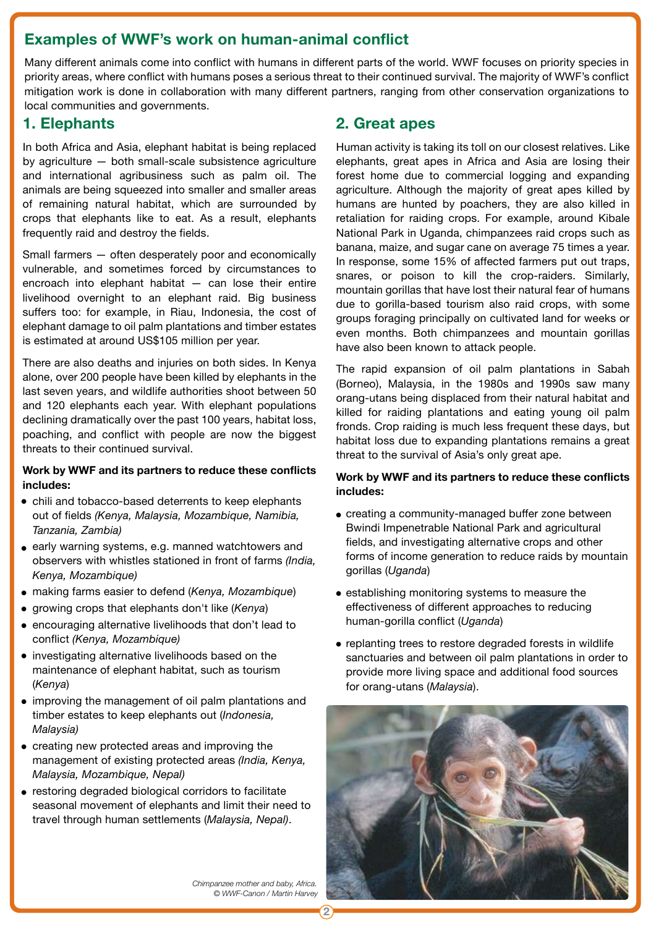# **Examples of WWF's work on human-animal conflict**

Many different animals come into conflict with humans in different parts of the world. WWF focuses on priority species in priority areas, where conflict with humans poses a serious threat to their continued survival. The majority of WWF's conflict mitigation work is done in collaboration with many different partners, ranging from other conservation organizations to local communities and governments.

# **1. Elephants**

In both Africa and Asia, elephant habitat is being replaced by agriculture — both small-scale subsistence agriculture and international agribusiness such as palm oil. The animals are being squeezed into smaller and smaller areas of remaining natural habitat, which are surrounded by crops that elephants like to eat. As a result, elephants frequently raid and destroy the fields.

Small farmers — often desperately poor and economically vulnerable, and sometimes forced by circumstances to encroach into elephant habitat — can lose their entire livelihood overnight to an elephant raid. Big business suffers too: for example, in Riau, Indonesia, the cost of elephant damage to oil palm plantations and timber estates is estimated at around US\$105 million per year.

There are also deaths and injuries on both sides. In Kenya alone, over 200 people have been killed by elephants in the last seven years, and wildlife authorities shoot between 50 and 120 elephants each year. With elephant populations declining dramatically over the past 100 years, habitat loss, poaching, and conflict with people are now the biggest threats to their continued survival.

#### **Work by WWF and its partners to reduce these conflicts includes:**

- chili and tobacco-based deterrents to keep elephants out of fields *(Kenya, Malaysia, Mozambique, Namibia, Tanzania, Zambia)*
- early warning systems, e.g. manned watchtowers and observers with whistles stationed in front of farms *(India, Kenya, Mozambique)*
- making farms easier to defend (*Kenya, Mozambique*) •
- **•** growing crops that elephants don't like (*Kenya*)
- encouraging alternative livelihoods that don't lead to conflict *(Kenya, Mozambique)*
- investigating alternative livelihoods based on the maintenance of elephant habitat, such as tourism (*Kenya*)
- improving the management of oil palm plantations and timber estates to keep elephants out (*Indonesia, Malaysia)*
- creating new protected areas and improving the management of existing protected areas *(India, Kenya, Malaysia, Mozambique, Nepal)*
- restoring degraded biological corridors to facilitate seasonal movement of elephants and limit their need to travel through human settlements (*Malaysia, Nepal)*.

# **2. Great apes**

Human activity is taking its toll on our closest relatives. Like elephants, great apes in Africa and Asia are losing their forest home due to commercial logging and expanding agriculture. Although the majority of great apes killed by humans are hunted by poachers, they are also killed in retaliation for raiding crops. For example, around Kibale National Park in Uganda, chimpanzees raid crops such as banana, maize, and sugar cane on average 75 times a year. In response, some 15% of affected farmers put out traps, snares, or poison to kill the crop-raiders. Similarly, mountain gorillas that have lost their natural fear of humans due to gorilla-based tourism also raid crops, with some groups foraging principally on cultivated land for weeks or even months. Both chimpanzees and mountain gorillas have also been known to attack people.

The rapid expansion of oil palm plantations in Sabah (Borneo), Malaysia, in the 1980s and 1990s saw many orang-utans being displaced from their natural habitat and killed for raiding plantations and eating young oil palm fronds. Crop raiding is much less frequent these days, but habitat loss due to expanding plantations remains a great threat to the survival of Asia's only great ape.

#### **Work by WWF and its partners to reduce these conflicts includes:**

- creating a community-managed buffer zone between Bwindi Impenetrable National Park and agricultural fields, and investigating alternative crops and other forms of income generation to reduce raids by mountain gorillas (*Uganda*)
- establishing monitoring systems to measure the effectiveness of different approaches to reducing human-gorilla conflict (*Uganda*)
- replanting trees to restore degraded forests in wildlife sanctuaries and between oil palm plantations in order to provide more living space and additional food sources for orang-utans (*Malaysia*).



*Chimpanzee mother and baby, Africa. © WWF-Canon / Martin Harvey*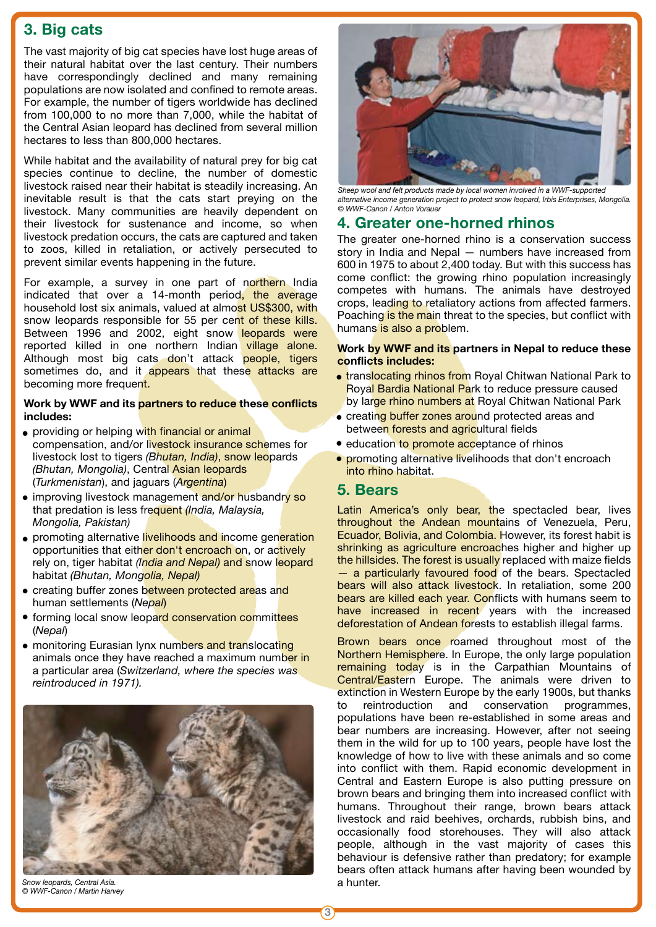# **3. Big cats**

The vast majority of big cat species have lost huge areas of their natural habitat over the last century. Their numbers have correspondingly declined and many remaining populations are now isolated and confined to remote areas. For example, the number of tigers worldwide has declined from 100,000 to no more than 7,000, while the habitat of the Central Asian leopard has declined from several million hectares to less than 800,000 hectares.

While habitat and the availability of natural prey for big cat species continue to decline, the number of domestic livestock raised near their habitat is steadily increasing. An inevitable result is that the cats start preying on the livestock. Many communities are heavily dependent on their livestock for sustenance and income, so when livestock predation occurs, the cats are captured and taken to zoos, killed in retaliation, or actively persecuted to prevent similar events happening in the future.

For example, a survey in one part of northern India indicated that over a 14-month period, the average household lost six animals, valued at almost US\$300, with snow leopards responsible for 55 per cent of these kills. Between 1996 and 2002, eight snow leopards were reported killed in one northern Indian village alone. Although most big cats don't attack people, tigers sometimes do, and it appears that these attacks are becoming more frequent.

#### **Work by WWF and its partners to reduce these conflicts includes:**

- providing or helping with financial or animal compensation, and/or livestock insurance schemes for livestock lost to tigers *(Bhutan, India)*, snow leopards *(Bhutan, Mongolia)*, Central Asian leopards (*Turkmenistan*), and jaguars (*Argentina*)
- improving livestock management and/or husbandry so that predation is less frequent *(India, Malaysia, Mongolia, Pakistan)*
- promoting alternative livelihoods and income generation opportunities that either don't encroach on, or actively rely on, tiger habitat *(India and Nepal)* and snow leopard habitat *(Bhutan, Mongolia, Nepal)*
- creating buffer zones between protected areas and human settlements (*Nepal*)
- **•** forming local snow leopard conservation committees (*Nepal*)
- monitoring Eurasian lynx numbers and translocating animals once they have reached a maximum number in a particular area (*Switzerland, where the species was reintroduced in 1971).*



*Snow leopards, Central Asia. © WWF-Canon / Martin Harvey*



*Sheep wool and felt products made by local women involved in a WWF-supported alternative income generation project to protect snow leopard, Irbis Enterprises, Mongolia. © WWF-Canon / Anton Vorauer* 

# **4. Greater one-horned rhinos**

The greater one-horned rhino is a conservation success story in India and Nepal — numbers have increased from 600 in 1975 to about 2,400 today. But with this success has come conflict: the growing rhino population increasingly competes with humans. The animals have destroyed crops, leading to retaliatory actions from affected farmers. Poaching is the main threat to the species, but conflict with humans is also a problem.

#### **Work by WWF and its partners in Nepal to reduce these conflicts includes:**

- **translocating rhinos from** Royal Chitwan National Park to Royal Bardia National Park to reduce pressure caused by large rhino numbers at Royal Chitwan National Park
- creating buffer zones around protected areas and between forests and agricultural fields
- education to promote acceptance of rhinos
- **promoting alternative livelihoods that don't encroach** into rhino habitat.

# **5. Bears**

Latin America's only bear, the spectacled bear, lives throughout the Andean mountains of Venezuela, Peru, Ecuador, Bolivia, and Colombia. However, its forest habit is shrinking as agriculture encroaches higher and higher up the hillsides. The forest is usually replaced with maize fields - a particularly favoured food of the bears. Spectacled bears will also attack livestock. In retaliation, some 200 bears are killed each year. Conflicts with humans seem to have increased in recent years with the increased deforestation of Andean forests to establish illegal farms.

Brown bears once roamed throughout most of the Northern Hemisphere. In Europe, the only large population remaining today is in the Carpathian Mountains of Central/Eastern Europe. The animals were driven to extinction in Western Europe by the early 1900s, but thanks to reintroduction and conservation programmes, populations have been re-established in some areas and bear numbers are increasing. However, after not seeing them in the wild for up to 100 years, people have lost the knowledge of how to live with these animals and so come into conflict with them. Rapid economic development in Central and Eastern Europe is also putting pressure on brown bears and bringing them into increased conflict with humans. Throughout their range, brown bears attack livestock and raid beehives, orchards, rubbish bins, and occasionally food storehouses. They will also attack people, although in the vast majority of cases this behaviour is defensive rather than predatory; for example bears often attack humans after having been wounded by a hunter.